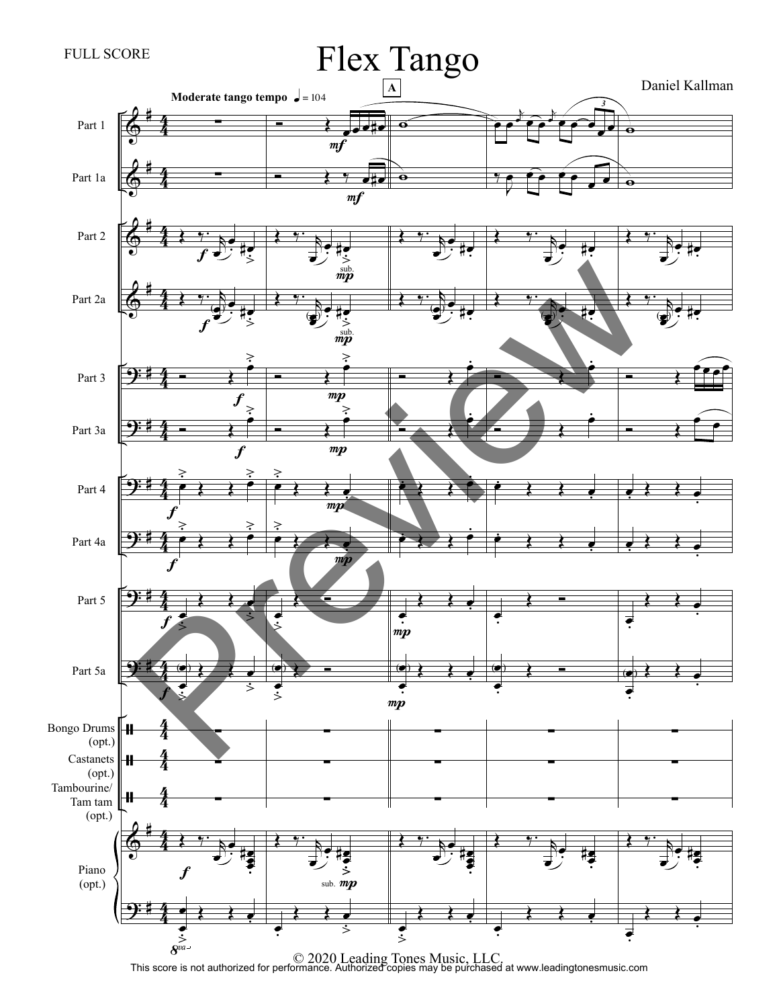

© 2020 Leading Tones Music, LLC. This score is not authorized for performance. Authorized copies may be purchased at www.leadingtonesmusic.com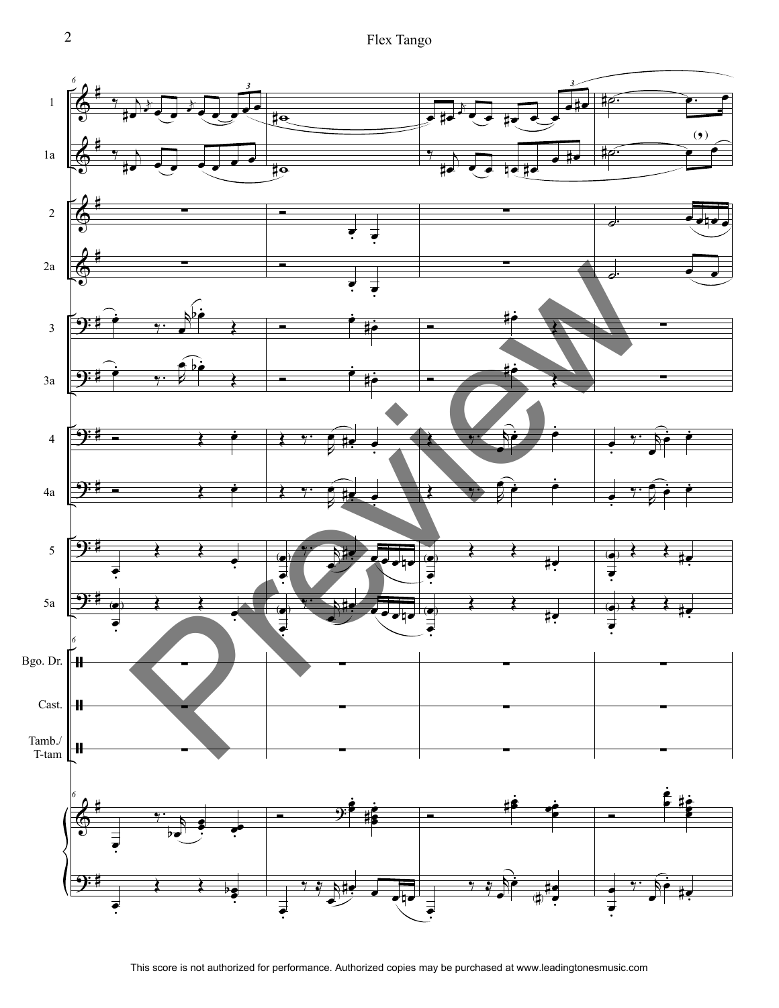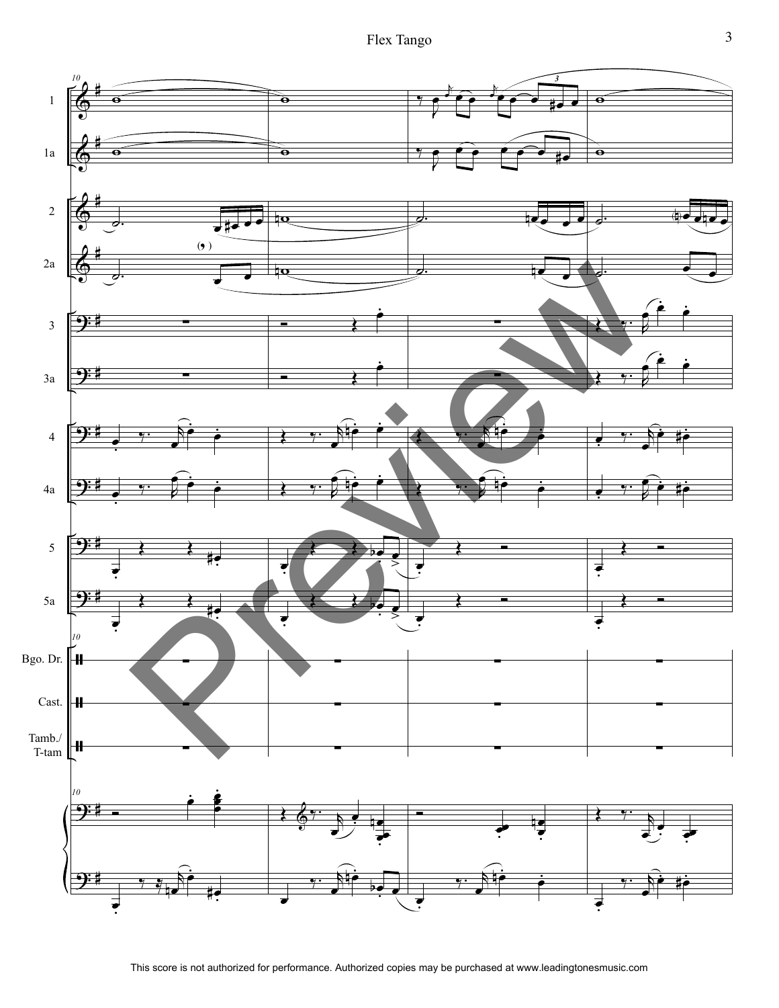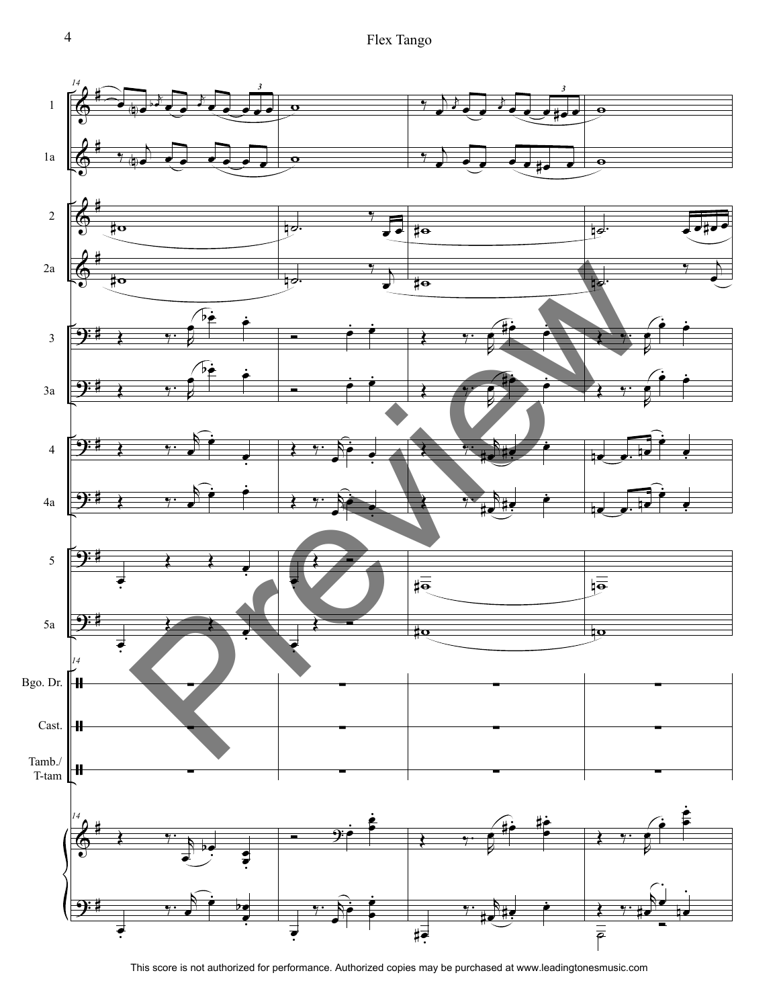

This score is not authorized for performance. Authorized copies may be purchased at www.leadingtonesmusic.com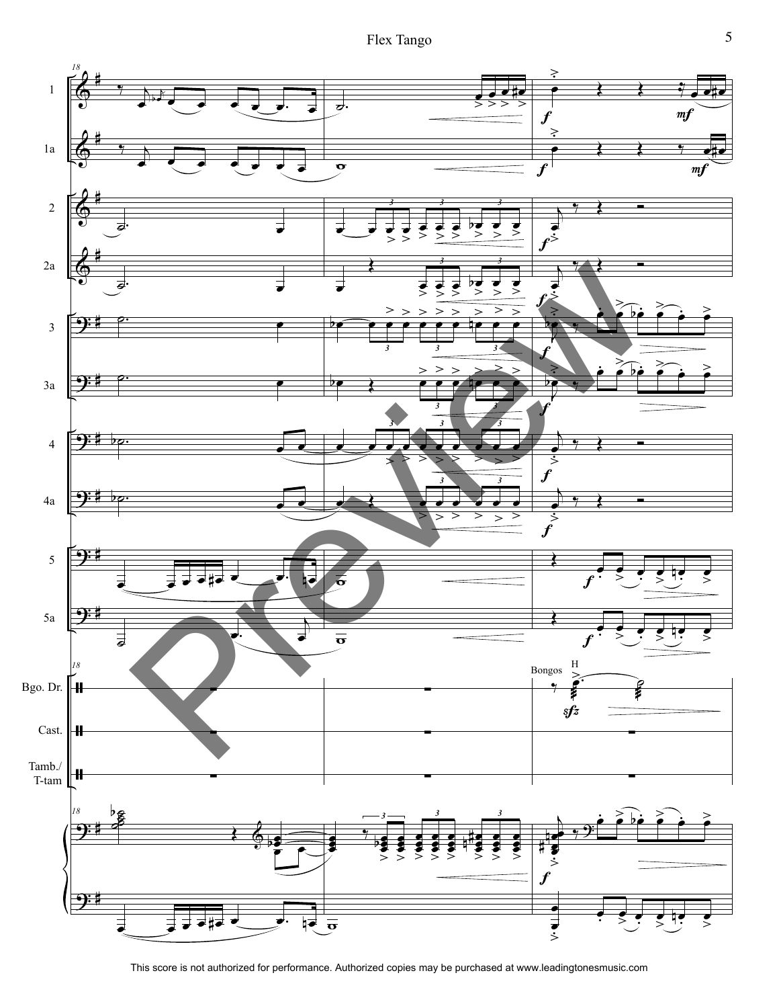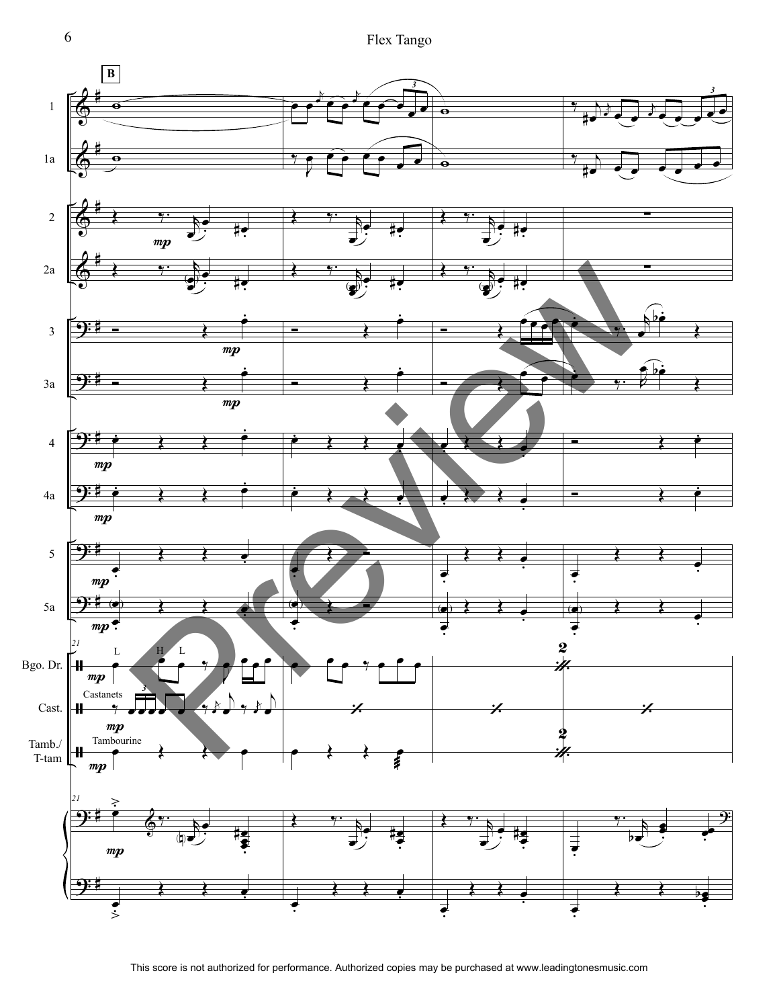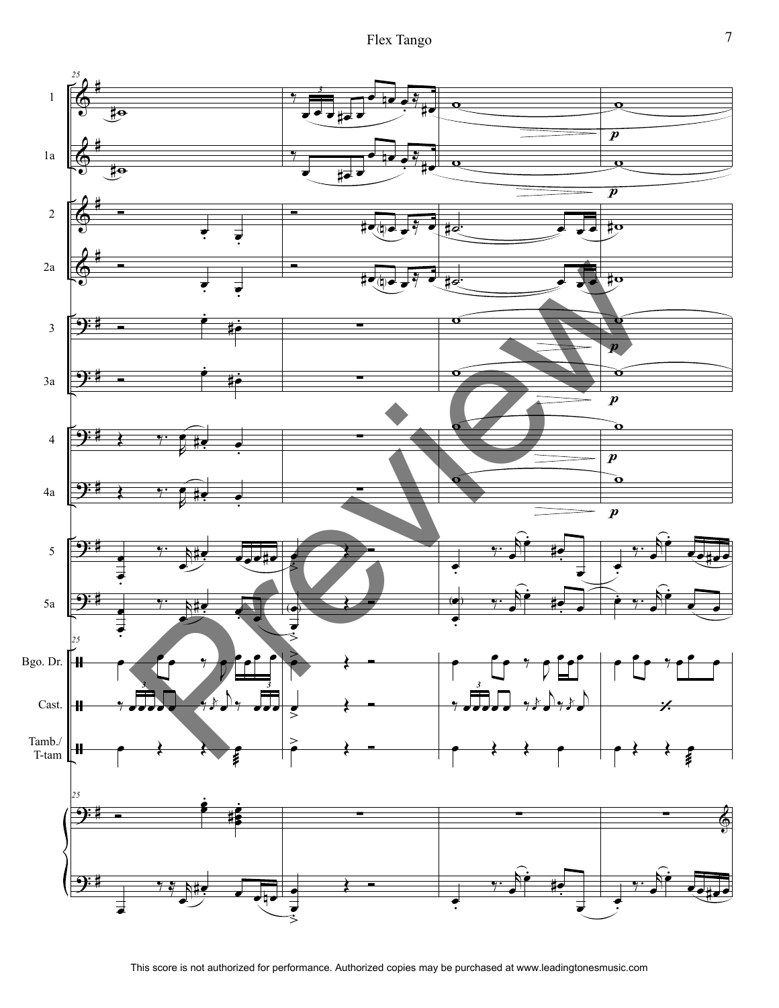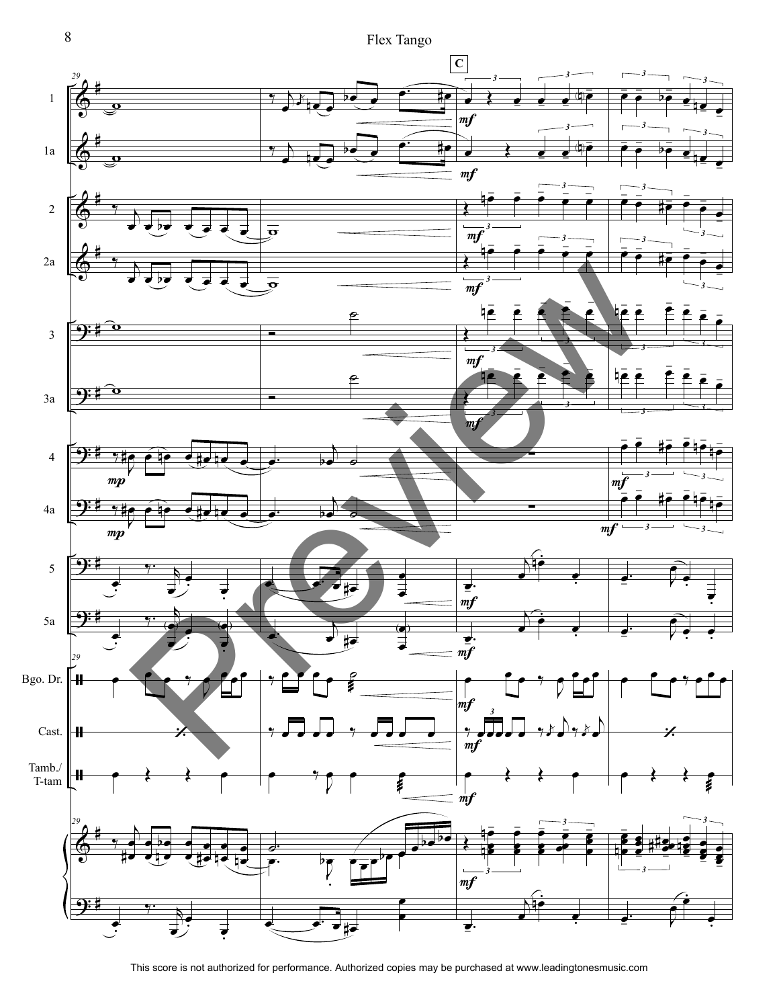

This score is not authorized for performance. Authorized copies may be purchased at www.leadingtonesmusic.com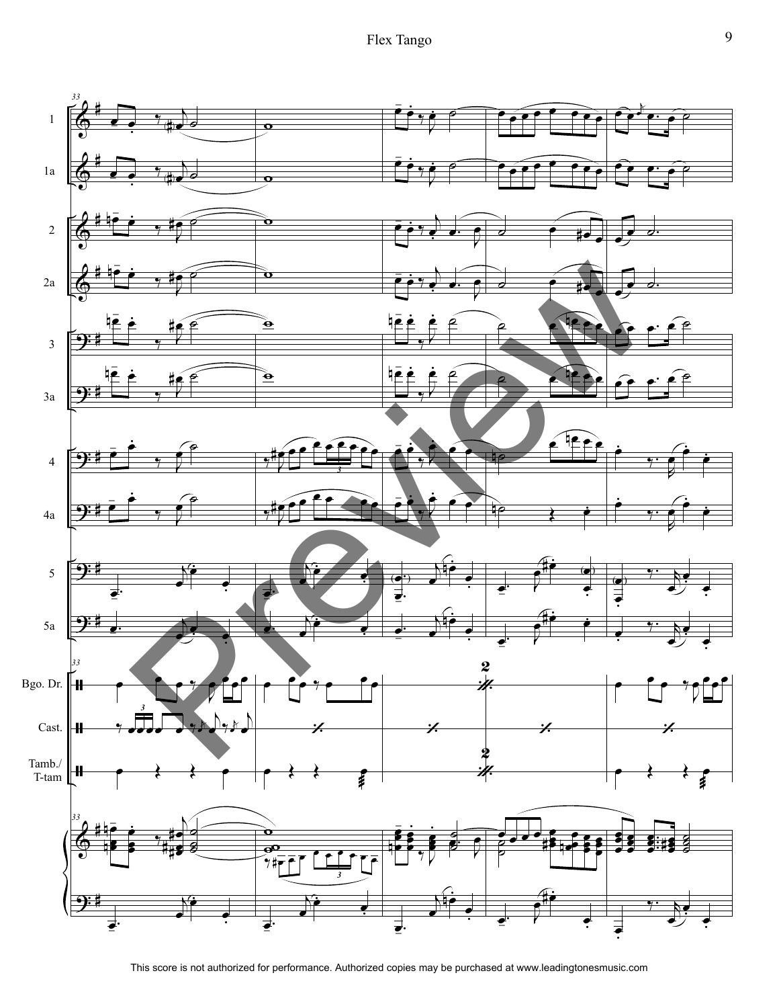Flex Tango

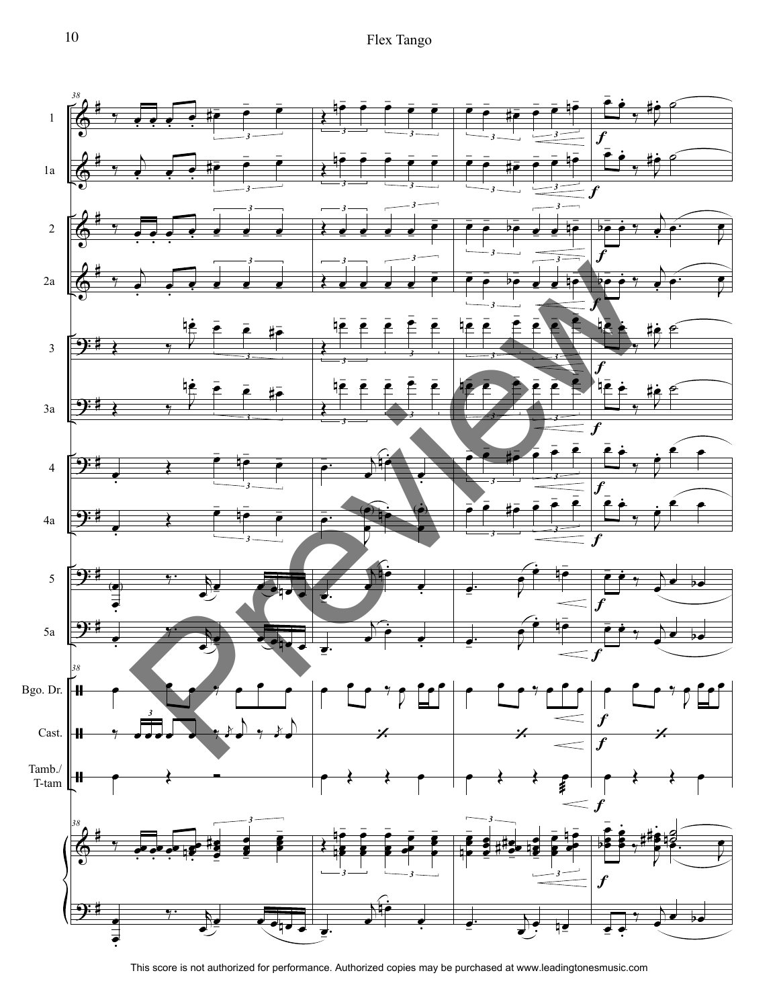

This score is not authorized for performance. Authorized copies may be purchased at www.leadingtonesmusic.com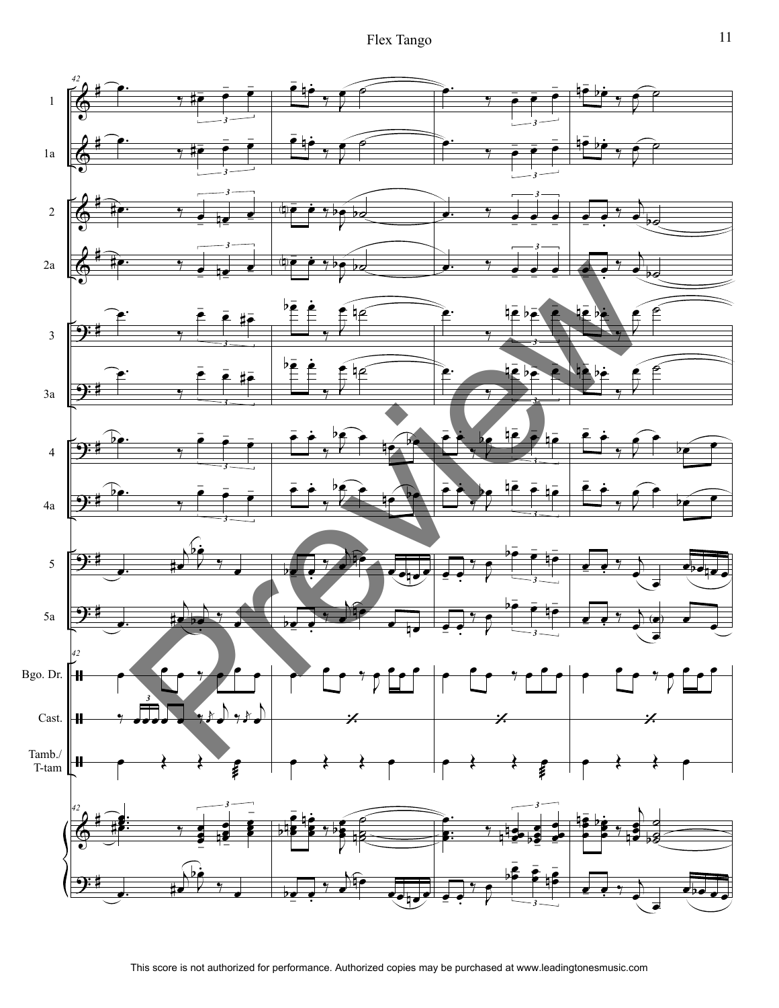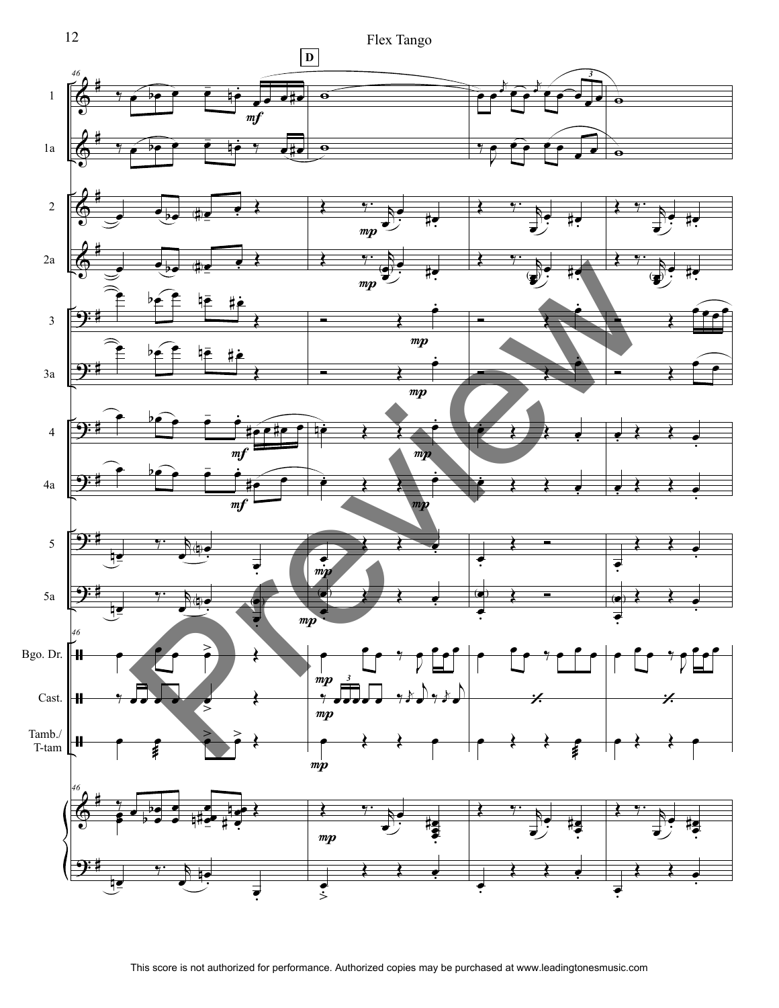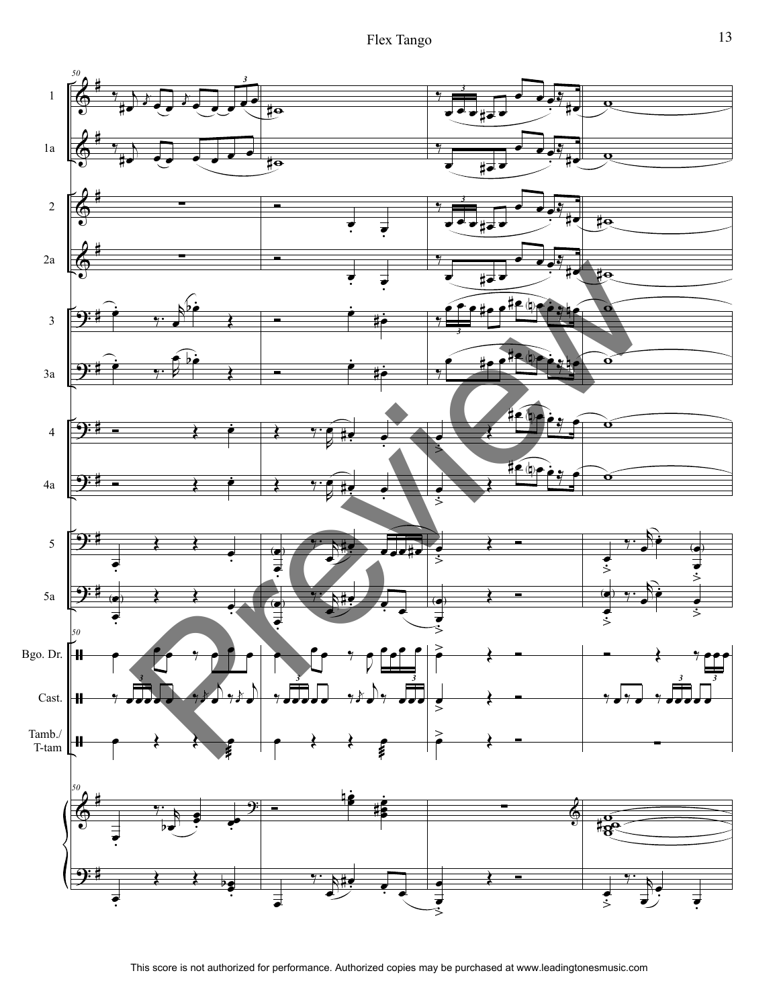Flex Tango

![](_page_12_Figure_1.jpeg)